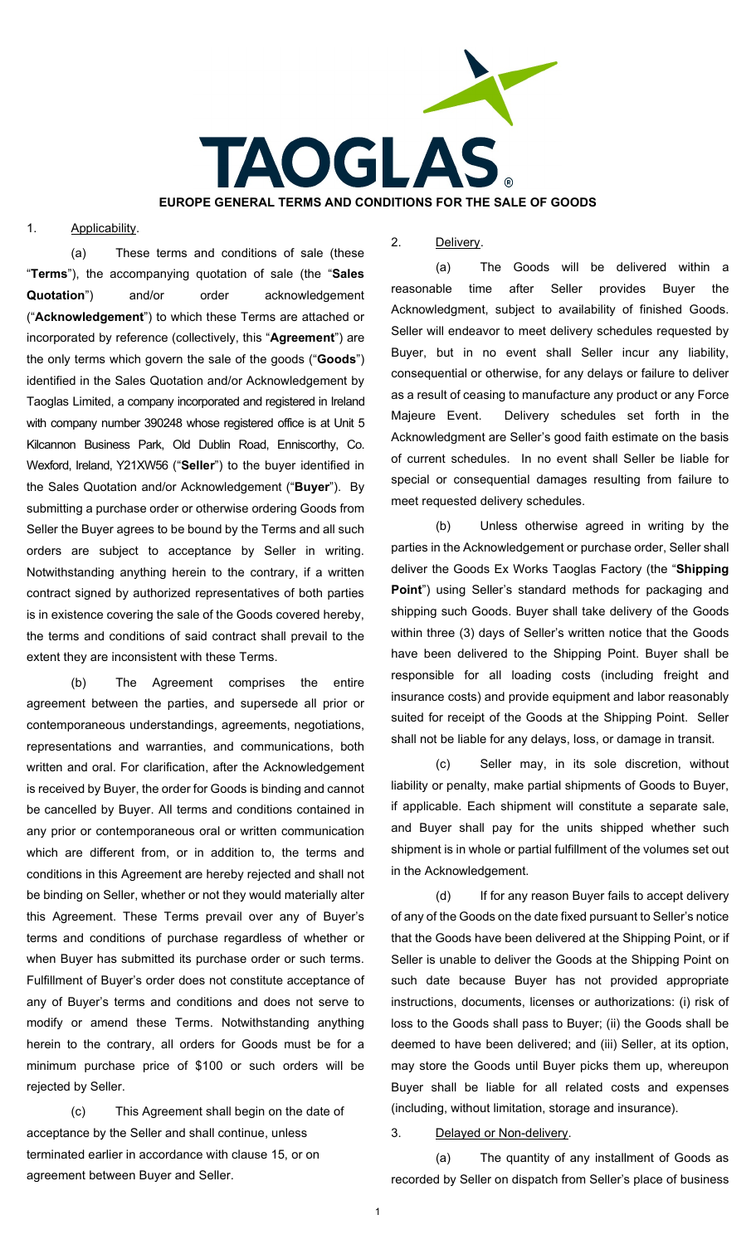

### 1. Applicability.

(a) These terms and conditions of sale (these "**Terms**"), the accompanying quotation of sale (the "**Sales Quotation**") and/or order acknowledgement ("**Acknowledgement**") to which these Terms are attached or incorporated by reference (collectively, this "**Agreement**") are the only terms which govern the sale of the goods ("**Goods**") identified in the Sales Quotation and/or Acknowledgement by Taoglas Limited, a company incorporated and registered in Ireland with company number 390248 whose registered office is at Unit 5 Kilcannon Business Park, Old Dublin Road, Enniscorthy, Co. Wexford, Ireland, Y21XW56 ("**Seller**") to the buyer identified in the Sales Quotation and/or Acknowledgement ("**Buyer**"). By submitting a purchase order or otherwise ordering Goods from Seller the Buyer agrees to be bound by the Terms and all such orders are subject to acceptance by Seller in writing. Notwithstanding anything herein to the contrary, if a written contract signed by authorized representatives of both parties is in existence covering the sale of the Goods covered hereby, the terms and conditions of said contract shall prevail to the extent they are inconsistent with these Terms.

(b) The Agreement comprises the entire agreement between the parties, and supersede all prior or contemporaneous understandings, agreements, negotiations, representations and warranties, and communications, both written and oral. For clarification, after the Acknowledgement is received by Buyer, the order for Goods is binding and cannot be cancelled by Buyer. All terms and conditions contained in any prior or contemporaneous oral or written communication which are different from, or in addition to, the terms and conditions in this Agreement are hereby rejected and shall not be binding on Seller, whether or not they would materially alter this Agreement. These Terms prevail over any of Buyer's terms and conditions of purchase regardless of whether or when Buyer has submitted its purchase order or such terms. Fulfillment of Buyer's order does not constitute acceptance of any of Buyer's terms and conditions and does not serve to modify or amend these Terms. Notwithstanding anything herein to the contrary, all orders for Goods must be for a minimum purchase price of \$100 or such orders will be rejected by Seller.

(c) This Agreement shall begin on the date of acceptance by the Seller and shall continue, unless terminated earlier in accordance with clause 15, or on agreement between Buyer and Seller.

# 2. Delivery.

(a) The Goods will be delivered within a reasonable time after Seller provides Buyer the Acknowledgment, subject to availability of finished Goods. Seller will endeavor to meet delivery schedules requested by Buyer, but in no event shall Seller incur any liability, consequential or otherwise, for any delays or failure to deliver as a result of ceasing to manufacture any product or any Force Majeure Event. Delivery schedules set forth in the Acknowledgment are Seller's good faith estimate on the basis of current schedules. In no event shall Seller be liable for special or consequential damages resulting from failure to meet requested delivery schedules.

(b) Unless otherwise agreed in writing by the parties in the Acknowledgement or purchase order, Seller shall deliver the Goods Ex Works Taoglas Factory (the "**Shipping Point**") using Seller's standard methods for packaging and shipping such Goods. Buyer shall take delivery of the Goods within three (3) days of Seller's written notice that the Goods have been delivered to the Shipping Point. Buyer shall be responsible for all loading costs (including freight and insurance costs) and provide equipment and labor reasonably suited for receipt of the Goods at the Shipping Point. Seller shall not be liable for any delays, loss, or damage in transit.

(c) Seller may, in its sole discretion, without liability or penalty, make partial shipments of Goods to Buyer, if applicable. Each shipment will constitute a separate sale, and Buyer shall pay for the units shipped whether such shipment is in whole or partial fulfillment of the volumes set out in the Acknowledgement.

(d) If for any reason Buyer fails to accept delivery of any of the Goods on the date fixed pursuant to Seller's notice that the Goods have been delivered at the Shipping Point, or if Seller is unable to deliver the Goods at the Shipping Point on such date because Buyer has not provided appropriate instructions, documents, licenses or authorizations: (i) risk of loss to the Goods shall pass to Buyer; (ii) the Goods shall be deemed to have been delivered; and (iii) Seller, at its option, may store the Goods until Buyer picks them up, whereupon Buyer shall be liable for all related costs and expenses (including, without limitation, storage and insurance).

### 3. Delayed or Non-delivery.

(a) The quantity of any installment of Goods as recorded by Seller on dispatch from Seller's place of business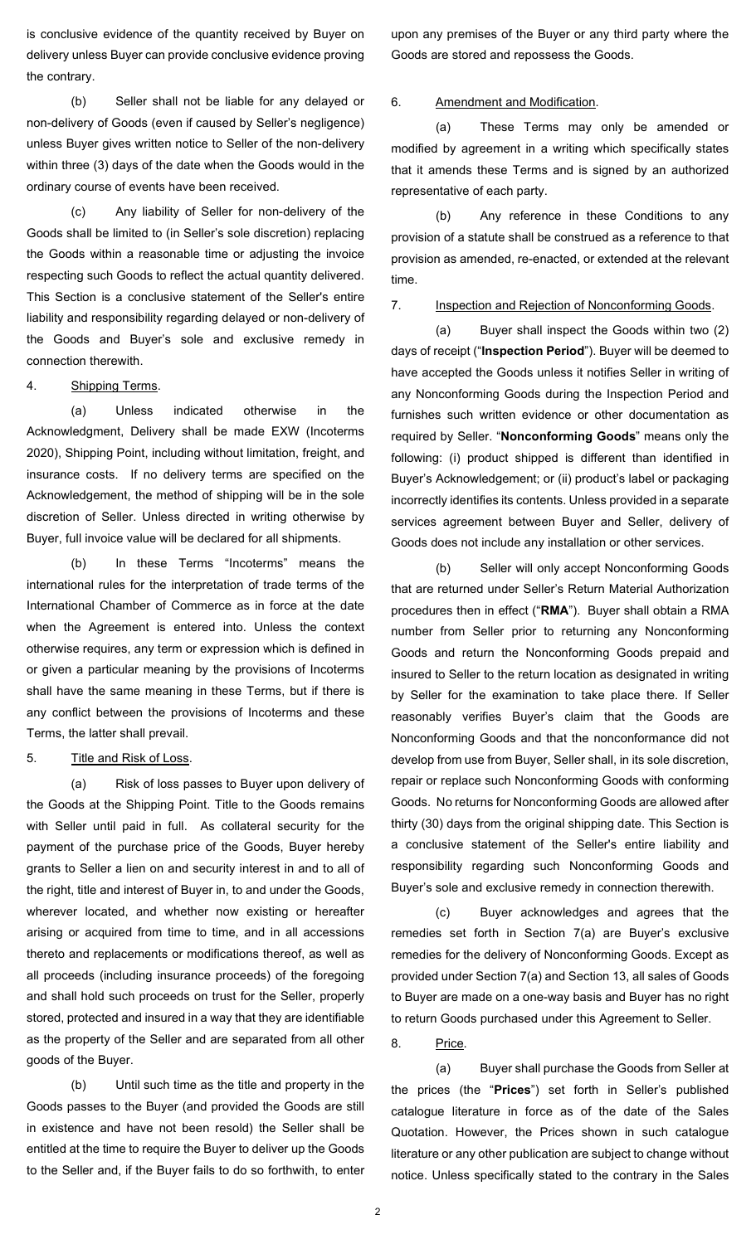is conclusive evidence of the quantity received by Buyer on delivery unless Buyer can provide conclusive evidence proving the contrary.

(b) Seller shall not be liable for any delayed or non-delivery of Goods (even if caused by Seller's negligence) unless Buyer gives written notice to Seller of the non-delivery within three (3) days of the date when the Goods would in the ordinary course of events have been received.

(c) Any liability of Seller for non-delivery of the Goods shall be limited to (in Seller's sole discretion) replacing the Goods within a reasonable time or adjusting the invoice respecting such Goods to reflect the actual quantity delivered. This Section is a conclusive statement of the Seller's entire liability and responsibility regarding delayed or non-delivery of the Goods and Buyer's sole and exclusive remedy in connection therewith.

# 4. Shipping Terms.

(a) Unless indicated otherwise in the Acknowledgment, Delivery shall be made EXW (Incoterms 2020), Shipping Point, including without limitation, freight, and insurance costs. If no delivery terms are specified on the Acknowledgement, the method of shipping will be in the sole discretion of Seller. Unless directed in writing otherwise by Buyer, full invoice value will be declared for all shipments.

(b) In these Terms "Incoterms" means the international rules for the interpretation of trade terms of the International Chamber of Commerce as in force at the date when the Agreement is entered into. Unless the context otherwise requires, any term or expression which is defined in or given a particular meaning by the provisions of Incoterms shall have the same meaning in these Terms, but if there is any conflict between the provisions of Incoterms and these Terms, the latter shall prevail.

#### 5. Title and Risk of Loss.

(a) Risk of loss passes to Buyer upon delivery of the Goods at the Shipping Point. Title to the Goods remains with Seller until paid in full. As collateral security for the payment of the purchase price of the Goods, Buyer hereby grants to Seller a lien on and security interest in and to all of the right, title and interest of Buyer in, to and under the Goods, wherever located, and whether now existing or hereafter arising or acquired from time to time, and in all accessions thereto and replacements or modifications thereof, as well as all proceeds (including insurance proceeds) of the foregoing and shall hold such proceeds on trust for the Seller, properly stored, protected and insured in a way that they are identifiable as the property of the Seller and are separated from all other goods of the Buyer.

(b) Until such time as the title and property in the Goods passes to the Buyer (and provided the Goods are still in existence and have not been resold) the Seller shall be entitled at the time to require the Buyer to deliver up the Goods to the Seller and, if the Buyer fails to do so forthwith, to enter

upon any premises of the Buyer or any third party where the Goods are stored and repossess the Goods.

### 6. Amendment and Modification.

(a) These Terms may only be amended or modified by agreement in a writing which specifically states that it amends these Terms and is signed by an authorized representative of each party.

(b) Any reference in these Conditions to any provision of a statute shall be construed as a reference to that provision as amended, re-enacted, or extended at the relevant time.

# 7. Inspection and Rejection of Nonconforming Goods.

(a) Buyer shall inspect the Goods within two (2) days of receipt ("**Inspection Period**"). Buyer will be deemed to have accepted the Goods unless it notifies Seller in writing of any Nonconforming Goods during the Inspection Period and furnishes such written evidence or other documentation as required by Seller. "**Nonconforming Goods**" means only the following: (i) product shipped is different than identified in Buyer's Acknowledgement; or (ii) product's label or packaging incorrectly identifies its contents. Unless provided in a separate services agreement between Buyer and Seller, delivery of Goods does not include any installation or other services.

<span id="page-1-0"></span>(b) Seller will only accept Nonconforming Goods that are returned under Seller's Return Material Authorization procedures then in effect ("**RMA**"). Buyer shall obtain a RMA number from Seller prior to returning any Nonconforming Goods and return the Nonconforming Goods prepaid and insured to Seller to the return location as designated in writing by Seller for the examination to take place there. If Seller reasonably verifies Buyer's claim that the Goods are Nonconforming Goods and that the nonconformance did not develop from use from Buyer, Seller shall, in its sole discretion, repair or replace such Nonconforming Goods with conforming Goods. No returns for Nonconforming Goods are allowed after thirty (30) days from the original shipping date. This Section is a conclusive statement of the Seller's entire liability and responsibility regarding such Nonconforming Goods and Buyer's sole and exclusive remedy in connection therewith.

(c) Buyer acknowledges and agrees that the remedies set forth in Section [7\(a\)](#page-1-0) are Buyer's exclusive remedies for the delivery of Nonconforming Goods. Except as provided under Section [7\(a\)](#page-1-0) and Section 13, all sales of Goods to Buyer are made on a one-way basis and Buyer has no right to return Goods purchased under this Agreement to Seller.

8. Price.

(a) Buyer shall purchase the Goods from Seller at the prices (the "**Prices**") set forth in Seller's published catalogue literature in force as of the date of the Sales Quotation. However, the Prices shown in such catalogue literature or any other publication are subject to change without notice. Unless specifically stated to the contrary in the Sales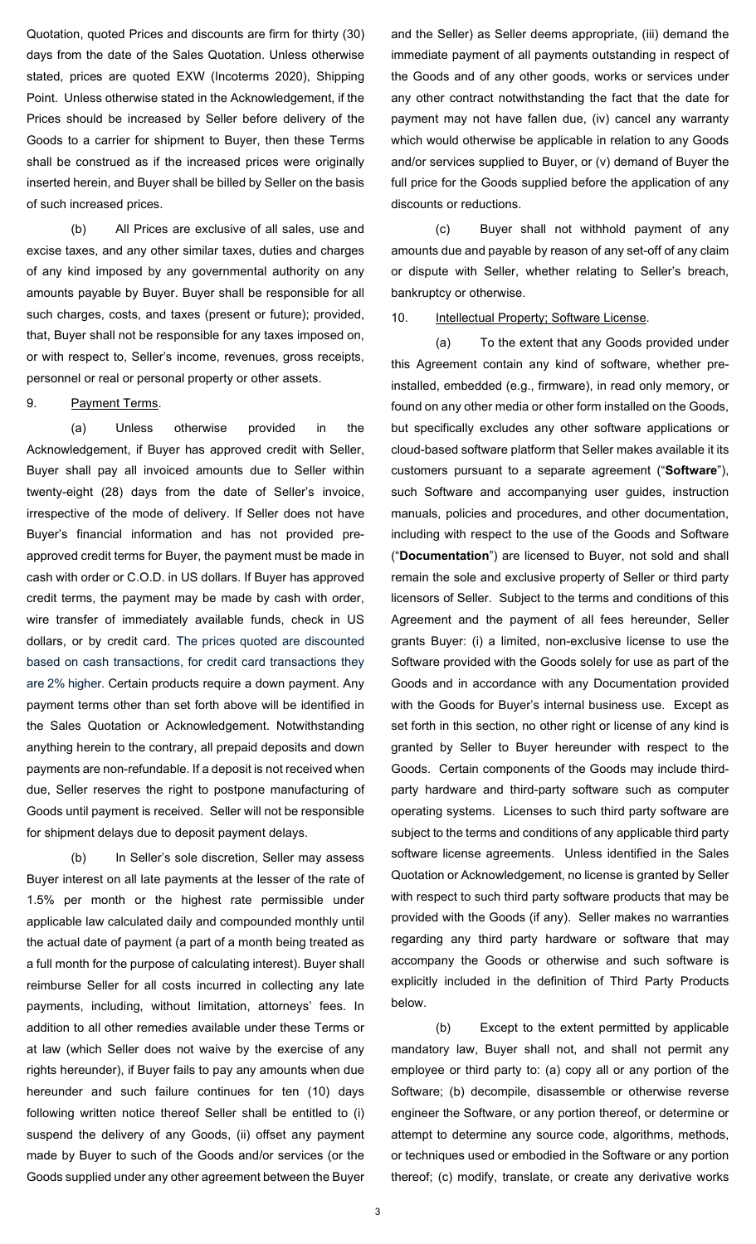Quotation, quoted Prices and discounts are firm for thirty (30) days from the date of the Sales Quotation. Unless otherwise stated, prices are quoted EXW (Incoterms 2020), Shipping Point. Unless otherwise stated in the Acknowledgement, if the Prices should be increased by Seller before delivery of the Goods to a carrier for shipment to Buyer, then these Terms shall be construed as if the increased prices were originally inserted herein, and Buyer shall be billed by Seller on the basis of such increased prices.

(b) All Prices are exclusive of all sales, use and excise taxes, and any other similar taxes, duties and charges of any kind imposed by any governmental authority on any amounts payable by Buyer. Buyer shall be responsible for all such charges, costs, and taxes (present or future); provided, that, Buyer shall not be responsible for any taxes imposed on, or with respect to, Seller's income, revenues, gross receipts, personnel or real or personal property or other assets.

### 9. Payment Terms.

(a) Unless otherwise provided in the Acknowledgement, if Buyer has approved credit with Seller, Buyer shall pay all invoiced amounts due to Seller within twenty-eight (28) days from the date of Seller's invoice, irrespective of the mode of delivery. If Seller does not have Buyer's financial information and has not provided preapproved credit terms for Buyer, the payment must be made in cash with order or C.O.D. in US dollars. If Buyer has approved credit terms, the payment may be made by cash with order, wire transfer of immediately available funds, check in US dollars, or by credit card. The prices quoted are discounted based on cash transactions, for credit card transactions they are 2% higher. Certain products require a down payment. Any payment terms other than set forth above will be identified in the Sales Quotation or Acknowledgement. Notwithstanding anything herein to the contrary, all prepaid deposits and down payments are non-refundable. If a deposit is not received when due, Seller reserves the right to postpone manufacturing of Goods until payment is received. Seller will not be responsible for shipment delays due to deposit payment delays.

(b) In Seller's sole discretion, Seller may assess Buyer interest on all late payments at the lesser of the rate of 1.5% per month or the highest rate permissible under applicable law calculated daily and compounded monthly until the actual date of payment (a part of a month being treated as a full month for the purpose of calculating interest). Buyer shall reimburse Seller for all costs incurred in collecting any late payments, including, without limitation, attorneys' fees. In addition to all other remedies available under these Terms or at law (which Seller does not waive by the exercise of any rights hereunder), if Buyer fails to pay any amounts when due hereunder and such failure continues for ten (10) days following written notice thereof Seller shall be entitled to (i) suspend the delivery of any Goods, (ii) offset any payment made by Buyer to such of the Goods and/or services (or the Goods supplied under any other agreement between the Buyer

and the Seller) as Seller deems appropriate, (iii) demand the immediate payment of all payments outstanding in respect of the Goods and of any other goods, works or services under any other contract notwithstanding the fact that the date for payment may not have fallen due, (iv) cancel any warranty which would otherwise be applicable in relation to any Goods and/or services supplied to Buyer, or (v) demand of Buyer the full price for the Goods supplied before the application of any discounts or reductions.

(c) Buyer shall not withhold payment of any amounts due and payable by reason of any set-off of any claim or dispute with Seller, whether relating to Seller's breach, bankruptcy or otherwise.

#### 10. Intellectual Property; Software License.

(a) To the extent that any Goods provided under this Agreement contain any kind of software, whether preinstalled, embedded (e.g., firmware), in read only memory, or found on any other media or other form installed on the Goods, but specifically excludes any other software applications or cloud-based software platform that Seller makes available it its customers pursuant to a separate agreement ("**Software**"), such Software and accompanying user guides, instruction manuals, policies and procedures, and other documentation, including with respect to the use of the Goods and Software ("**Documentation**") are licensed to Buyer, not sold and shall remain the sole and exclusive property of Seller or third party licensors of Seller. Subject to the terms and conditions of this Agreement and the payment of all fees hereunder, Seller grants Buyer: (i) a limited, non-exclusive license to use the Software provided with the Goods solely for use as part of the Goods and in accordance with any Documentation provided with the Goods for Buyer's internal business use. Except as set forth in this section, no other right or license of any kind is granted by Seller to Buyer hereunder with respect to the Goods. Certain components of the Goods may include thirdparty hardware and third-party software such as computer operating systems. Licenses to such third party software are subject to the terms and conditions of any applicable third party software license agreements. Unless identified in the Sales Quotation or Acknowledgement, no license is granted by Seller with respect to such third party software products that may be provided with the Goods (if any). Seller makes no warranties regarding any third party hardware or software that may accompany the Goods or otherwise and such software is explicitly included in the definition of Third Party Products below.

(b) Except to the extent permitted by applicable mandatory law, Buyer shall not, and shall not permit any employee or third party to: (a) copy all or any portion of the Software; (b) decompile, disassemble or otherwise reverse engineer the Software, or any portion thereof, or determine or attempt to determine any source code, algorithms, methods, or techniques used or embodied in the Software or any portion thereof; (c) modify, translate, or create any derivative works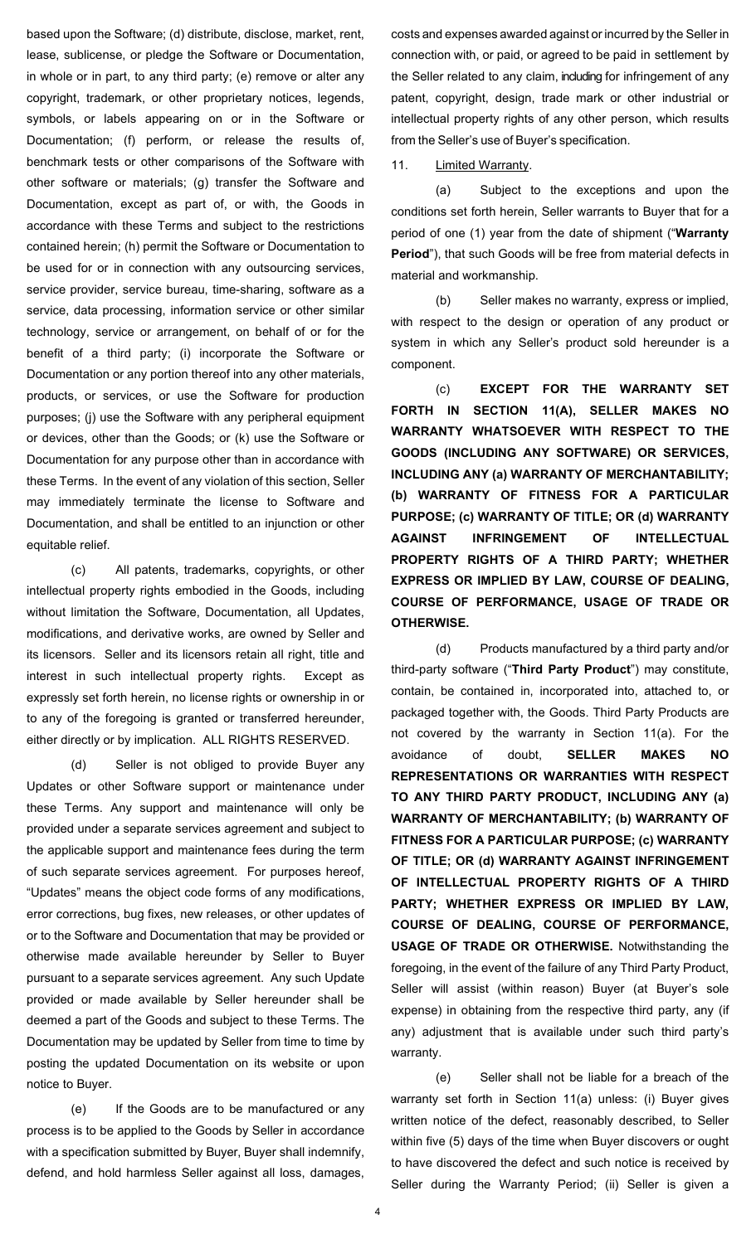based upon the Software; (d) distribute, disclose, market, rent, lease, sublicense, or pledge the Software or Documentation, in whole or in part, to any third party; (e) remove or alter any copyright, trademark, or other proprietary notices, legends, symbols, or labels appearing on or in the Software or Documentation; (f) perform, or release the results of, benchmark tests or other comparisons of the Software with other software or materials; (g) transfer the Software and Documentation, except as part of, or with, the Goods in accordance with these Terms and subject to the restrictions contained herein; (h) permit the Software or Documentation to be used for or in connection with any outsourcing services, service provider, service bureau, time-sharing, software as a service, data processing, information service or other similar technology, service or arrangement, on behalf of or for the benefit of a third party; (i) incorporate the Software or Documentation or any portion thereof into any other materials, products, or services, or use the Software for production purposes; (j) use the Software with any peripheral equipment or devices, other than the Goods; or (k) use the Software or Documentation for any purpose other than in accordance with these Terms. In the event of any violation of this section, Seller may immediately terminate the license to Software and Documentation, and shall be entitled to an injunction or other equitable relief.

(c) All patents, trademarks, copyrights, or other intellectual property rights embodied in the Goods, including without limitation the Software, Documentation, all Updates, modifications, and derivative works, are owned by Seller and its licensors. Seller and its licensors retain all right, title and interest in such intellectual property rights. Except as expressly set forth herein, no license rights or ownership in or to any of the foregoing is granted or transferred hereunder, either directly or by implication. ALL RIGHTS RESERVED.

(d) Seller is not obliged to provide Buyer any Updates or other Software support or maintenance under these Terms. Any support and maintenance will only be provided under a separate services agreement and subject to the applicable support and maintenance fees during the term of such separate services agreement. For purposes hereof, "Updates" means the object code forms of any modifications, error corrections, bug fixes, new releases, or other updates of or to the Software and Documentation that may be provided or otherwise made available hereunder by Seller to Buyer pursuant to a separate services agreement. Any such Update provided or made available by Seller hereunder shall be deemed a part of the Goods and subject to these Terms. The Documentation may be updated by Seller from time to time by posting the updated Documentation on its website or upon notice to Buyer.

(e) If the Goods are to be manufactured or any process is to be applied to the Goods by Seller in accordance with a specification submitted by Buyer, Buyer shall indemnify, defend, and hold harmless Seller against all loss, damages,

costs and expenses awarded against or incurred by the Seller in connection with, or paid, or agreed to be paid in settlement by the Seller related to any claim, including for infringement of any patent, copyright, design, trade mark or other industrial or intellectual property rights of any other person, which results from the Seller's use of Buyer's specification.

11. **Limited Warranty.** 

<span id="page-3-0"></span>(a) Subject to the exceptions and upon the conditions set forth herein, Seller warrants to Buyer that for a period of one (1) year from the date of shipment ("**Warranty Period**"), that such Goods will be free from material defects in material and workmanship.

(b) Seller makes no warranty, express or implied, with respect to the design or operation of any product or system in which any Seller's product sold hereunder is a component.

(c) **EXCEPT FOR THE WARRANTY SET FORTH IN SECTION 11(A), SELLER MAKES NO WARRANTY WHATSOEVER WITH RESPECT TO THE GOODS (INCLUDING ANY SOFTWARE) OR SERVICES, INCLUDING ANY (a) WARRANTY OF MERCHANTABILITY; (b) WARRANTY OF FITNESS FOR A PARTICULAR PURPOSE; (c) WARRANTY OF TITLE; OR (d) WARRANTY AGAINST INFRINGEMENT OF INTELLECTUAL PROPERTY RIGHTS OF A THIRD PARTY; WHETHER EXPRESS OR IMPLIED BY LAW, COURSE OF DEALING, COURSE OF PERFORMANCE, USAGE OF TRADE OR OTHERWISE.**

(d) Products manufactured by a third party and/or third-party software ("**Third Party Product**") may constitute, contain, be contained in, incorporated into, attached to, or packaged together with, the Goods. Third Party Products are not covered by the warranty in Section [11\(a\).](#page-3-0) For the avoidance of doubt, **SELLER MAKES NO REPRESENTATIONS OR WARRANTIES WITH RESPECT TO ANY THIRD PARTY PRODUCT, INCLUDING ANY (a) WARRANTY OF MERCHANTABILITY; (b) WARRANTY OF FITNESS FOR A PARTICULAR PURPOSE; (c) WARRANTY OF TITLE; OR (d) WARRANTY AGAINST INFRINGEMENT OF INTELLECTUAL PROPERTY RIGHTS OF A THIRD PARTY; WHETHER EXPRESS OR IMPLIED BY LAW, COURSE OF DEALING, COURSE OF PERFORMANCE, USAGE OF TRADE OR OTHERWISE.** Notwithstanding the foregoing, in the event of the failure of any Third Party Product, Seller will assist (within reason) Buyer (at Buyer's sole expense) in obtaining from the respective third party, any (if any) adjustment that is available under such third party's warranty.

(e) Seller shall not be liable for a breach of the warranty set forth in Section [11\(a\)](#page-3-0) unless: (i) Buyer gives written notice of the defect, reasonably described, to Seller within five (5) days of the time when Buyer discovers or ought to have discovered the defect and such notice is received by Seller during the Warranty Period; (ii) Seller is given a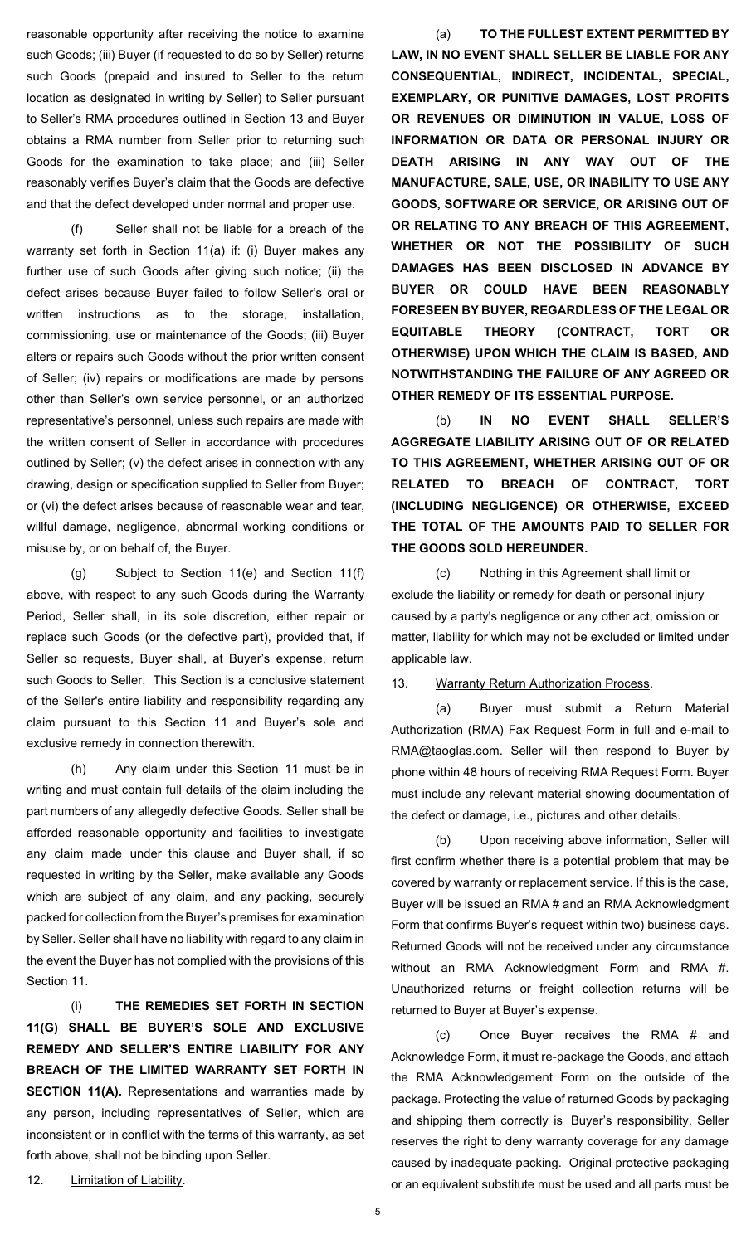reasonable opportunity after receiving the notice to examine such Goods; (iii) Buyer (if requested to do so by Seller) returns such Goods (prepaid and insured to Seller to the return location as designated in writing by Seller) to Seller pursuant to Seller's RMA procedures outlined in Section 13 and Buyer obtains a RMA number from Seller prior to returning such Goods for the examination to take place; and (iii) Seller reasonably verifies Buyer's claim that the Goods are defective and that the defect developed under normal and proper use.

(f) Seller shall not be liable for a breach of the warranty set forth in Section [11\(a\)](#page-3-0) if: (i) Buyer makes any further use of such Goods after giving such notice; (ii) the defect arises because Buyer failed to follow Seller's oral or written instructions as to the storage, installation, commissioning, use or maintenance of the Goods; (iii) Buyer alters or repairs such Goods without the prior written consent of Seller; (iv) repairs or modifications are made by persons other than Seller's own service personnel, or an authorized representative's personnel, unless such repairs are made with the written consent of Seller in accordance with procedures outlined by Seller; (v) the defect arises in connection with any drawing, design or specification supplied to Seller from Buyer; or (vi) the defect arises because of reasonable wear and tear, willful damage, negligence, abnormal working conditions or misuse by, or on behalf of, the Buyer.

(g) Subject to Section 11(e) and Section 11(f) above, with respect to any such Goods during the Warranty Period, Seller shall, in its sole discretion, either repair or replace such Goods (or the defective part), provided that, if Seller so requests, Buyer shall, at Buyer's expense, return such Goods to Seller. This Section is a conclusive statement of the Seller's entire liability and responsibility regarding any claim pursuant to this Section 11 and Buyer's sole and exclusive remedy in connection therewith.

(h) Any claim under this Section 11 must be in writing and must contain full details of the claim including the part numbers of any allegedly defective Goods. Seller shall be afforded reasonable opportunity and facilities to investigate any claim made under this clause and Buyer shall, if so requested in writing by the Seller, make available any Goods which are subject of any claim, and any packing, securely packed for collection from the Buyer's premises for examination by Seller. Seller shall have no liability with regard to any claim in the event the Buyer has not complied with the provisions of this Section 11.

(i) **THE REMEDIES SET FORTH IN SECTION 11(G) SHALL BE BUYER'S SOLE AND EXCLUSIVE REMEDY AND SELLER'S ENTIRE LIABILITY FOR ANY BREACH OF THE LIMITED WARRANTY SET FORTH IN SECTION 11(A).** Representations and warranties made by any person, including representatives of Seller, which are inconsistent or in conflict with the terms of this warranty, as set forth above, shall not be binding upon Seller.

(a) **TO THE FULLEST EXTENT PERMITTED BY LAW, IN NO EVENT SHALL SELLER BE LIABLE FOR ANY CONSEQUENTIAL, INDIRECT, INCIDENTAL, SPECIAL, EXEMPLARY, OR PUNITIVE DAMAGES, LOST PROFITS OR REVENUES OR DIMINUTION IN VALUE, LOSS OF INFORMATION OR DATA OR PERSONAL INJURY OR DEATH ARISING IN ANY WAY OUT OF THE MANUFACTURE, SALE, USE, OR INABILITY TO USE ANY GOODS, SOFTWARE OR SERVICE, OR ARISING OUT OF OR RELATING TO ANY BREACH OF THIS AGREEMENT, WHETHER OR NOT THE POSSIBILITY OF SUCH DAMAGES HAS BEEN DISCLOSED IN ADVANCE BY BUYER OR COULD HAVE BEEN REASONABLY FORESEEN BY BUYER, REGARDLESS OF THE LEGAL OR EQUITABLE THEORY (CONTRACT, TORT OR OTHERWISE) UPON WHICH THE CLAIM IS BASED, AND NOTWITHSTANDING THE FAILURE OF ANY AGREED OR OTHER REMEDY OF ITS ESSENTIAL PURPOSE.**

(b) **IN NO EVENT SHALL SELLER'S AGGREGATE LIABILITY ARISING OUT OF OR RELATED TO THIS AGREEMENT, WHETHER ARISING OUT OF OR RELATED TO BREACH OF CONTRACT, TORT (INCLUDING NEGLIGENCE) OR OTHERWISE, EXCEED THE TOTAL OF THE AMOUNTS PAID TO SELLER FOR THE GOODS SOLD HEREUNDER.**

(c) Nothing in this Agreement shall limit or exclude the liability or remedy for death or personal injury caused by a party's negligence or any other act, omission or matter, liability for which may not be excluded or limited under applicable law.

13. Warranty Return Authorization Process.

(a) Buyer must submit a Return Material Authorization (RMA) Fax Request Form in full and e-mail to [RMA@taoglas.com. S](mailto:RMA@taoglas.com)eller will then respond to Buyer by phone within 48 hours of receiving RMA Request Form. Buyer must include any relevant material showing documentation of the defect or damage, i.e., pictures and other details.

(b) Upon receiving above information, Seller will first confirm whether there is a potential problem that may be covered by warranty or replacement service. If this is the case, Buyer will be issued an RMA # and an RMA Acknowledgment Form that confirms Buyer's request within two) business days. Returned Goods will not be received under any circumstance without an RMA Acknowledgment Form and RMA #. Unauthorized returns or freight collection returns will be returned to Buyer at Buyer's expense.

(c) Once Buyer receives the RMA # and Acknowledge Form, it must re-package the Goods, and attach the RMA Acknowledgement Form on the outside of the package. Protecting the value of returned Goods by packaging and shipping them correctly is Buyer's responsibility. Seller reserves the right to deny warranty coverage for any damage caused by inadequate packing. Original protective packaging or an equivalent substitute must be used and all parts must be

12. Limitation of Liability.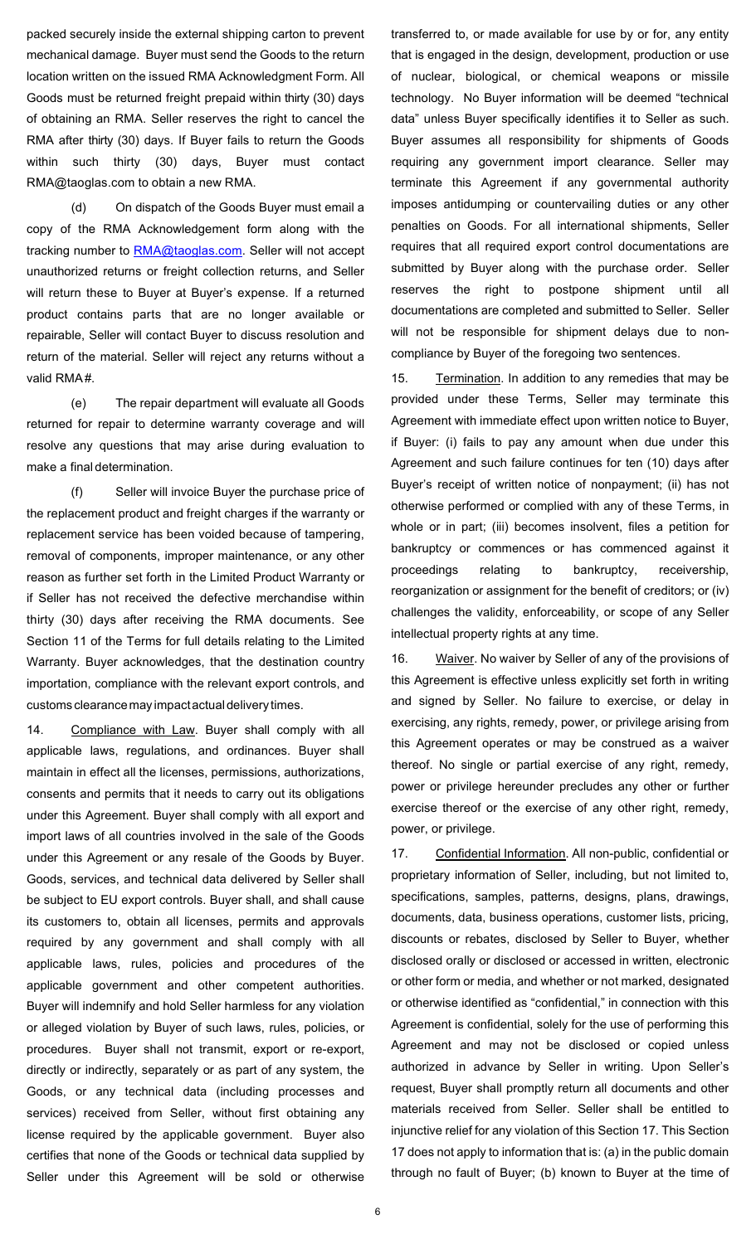packed securely inside the external shipping carton to prevent mechanical damage. Buyer must send the Goods to the return location written on the issued RMA Acknowledgment Form. All Goods must be returned freight prepaid within thirty (30) days of obtaining an RMA. Seller reserves the right to cancel the RMA after thirty (30) days. If Buyer fails to return the Goods within such thirty (30) days, Buyer must contact [RMA@taoglas.com](mailto:RMA@taoglas.com) to obtain a new RMA.

(d) On dispatch of the Goods Buyer must email a copy of the RMA Acknowledgement form along with the tracking number to [RMA@taoglas.com.](mailto:RMA@taoglas.com) Seller will not accept unauthorized returns or freight collection returns, and Seller will return these to Buyer at Buyer's expense. If a returned product contains parts that are no longer available or repairable, Seller will contact Buyer to discuss resolution and return of the material. Seller will reject any returns without a valid RMA#.

(e) The repair department will evaluate all Goods returned for repair to determine warranty coverage and will resolve any questions that may arise during evaluation to make a final determination.

(f) Seller will invoice Buyer the purchase price of the replacement product and freight charges if the warranty or replacement service has been voided because of tampering, removal of components, improper maintenance, or any other reason as further set forth in the Limited Product Warranty or if Seller has not received the defective merchandise within thirty (30) days after receiving the RMA documents. See Section 11 of the Terms for full details relating to the Limited Warranty. Buyer acknowledges, that the destination country importation, compliance with the relevant export controls, and customs clearance may impact actual delivery times.

14. Compliance with Law. Buyer shall comply with all applicable laws, regulations, and ordinances. Buyer shall maintain in effect all the licenses, permissions, authorizations, consents and permits that it needs to carry out its obligations under this Agreement. Buyer shall comply with all export and import laws of all countries involved in the sale of the Goods under this Agreement or any resale of the Goods by Buyer. Goods, services, and technical data delivered by Seller shall be subject to EU export controls. Buyer shall, and shall cause its customers to, obtain all licenses, permits and approvals required by any government and shall comply with all applicable laws, rules, policies and procedures of the applicable government and other competent authorities. Buyer will indemnify and hold Seller harmless for any violation or alleged violation by Buyer of such laws, rules, policies, or procedures. Buyer shall not transmit, export or re-export, directly or indirectly, separately or as part of any system, the Goods, or any technical data (including processes and services) received from Seller, without first obtaining any license required by the applicable government. Buyer also certifies that none of the Goods or technical data supplied by Seller under this Agreement will be sold or otherwise

transferred to, or made available for use by or for, any entity that is engaged in the design, development, production or use of nuclear, biological, or chemical weapons or missile technology. No Buyer information will be deemed "technical data" unless Buyer specifically identifies it to Seller as such. Buyer assumes all responsibility for shipments of Goods requiring any government import clearance. Seller may terminate this Agreement if any governmental authority imposes antidumping or countervailing duties or any other penalties on Goods. For all international shipments, Seller requires that all required export control documentations are submitted by Buyer along with the purchase order. Seller reserves the right to postpone shipment until all documentations are completed and submitted to Seller. Seller will not be responsible for shipment delays due to noncompliance by Buyer of the foregoing two sentences.

15. Termination. In addition to any remedies that may be provided under these Terms, Seller may terminate this Agreement with immediate effect upon written notice to Buyer, if Buyer: (i) fails to pay any amount when due under this Agreement and such failure continues for ten (10) days after Buyer's receipt of written notice of nonpayment; (ii) has not otherwise performed or complied with any of these Terms, in whole or in part; (iii) becomes insolvent, files a petition for bankruptcy or commences or has commenced against it proceedings relating to bankruptcy, receivership, reorganization or assignment for the benefit of creditors; or (iv) challenges the validity, enforceability, or scope of any Seller intellectual property rights at any time.

16. Waiver. No waiver by Seller of any of the provisions of this Agreement is effective unless explicitly set forth in writing and signed by Seller. No failure to exercise, or delay in exercising, any rights, remedy, power, or privilege arising from this Agreement operates or may be construed as a waiver thereof. No single or partial exercise of any right, remedy, power or privilege hereunder precludes any other or further exercise thereof or the exercise of any other right, remedy, power, or privilege.

<span id="page-5-0"></span>17. Confidential Information. All non-public, confidential or proprietary information of Seller, including, but not limited to, specifications, samples, patterns, designs, plans, drawings, documents, data, business operations, customer lists, pricing, discounts or rebates, disclosed by Seller to Buyer, whether disclosed orally or disclosed or accessed in written, electronic or other form or media, and whether or not marked, designated or otherwise identified as "confidential," in connection with this Agreement is confidential, solely for the use of performing this Agreement and may not be disclosed or copied unless authorized in advance by Seller in writing. Upon Seller's request, Buyer shall promptly return all documents and other materials received from Seller. Seller shall be entitled to injunctive relief for any violation of this Section [17.](#page-5-0) This Section [17](#page-5-0) does not apply to information that is: (a) in the public domain through no fault of Buyer; (b) known to Buyer at the time of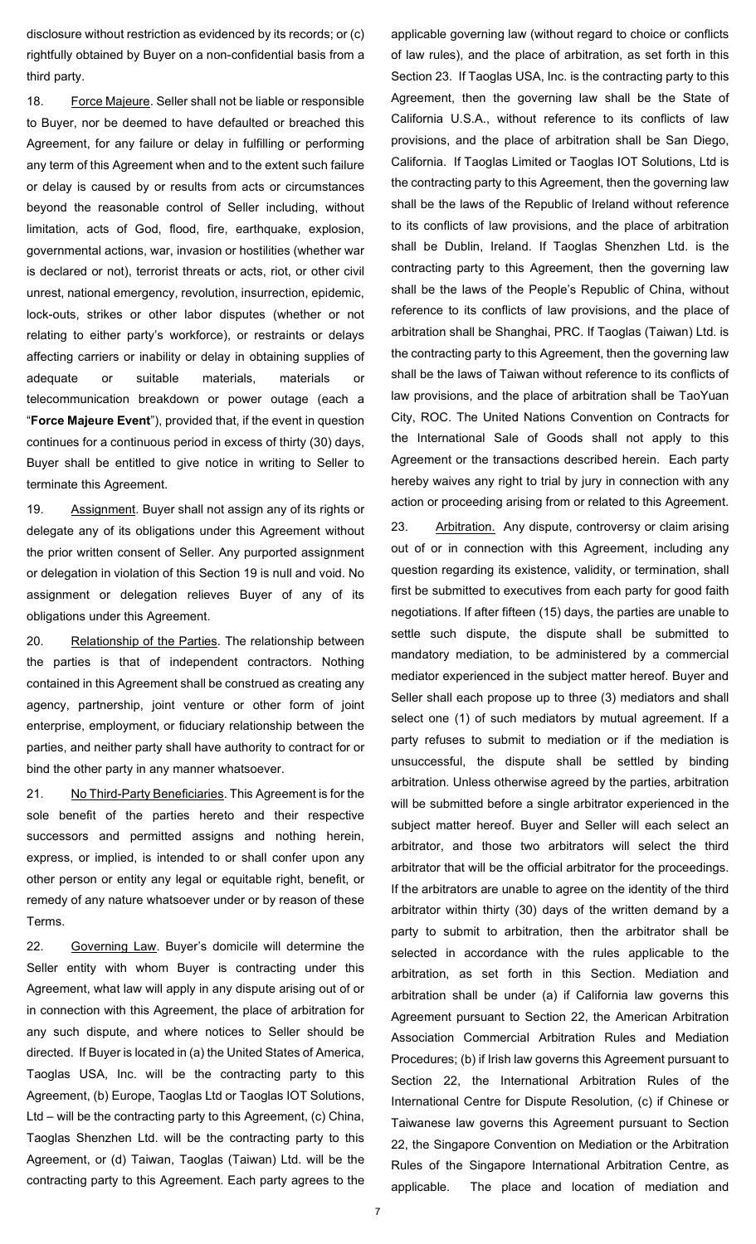disclosure without restriction as evidenced by its records; or (c) rightfully obtained by Buyer on a non-confidential basis from a third party.

18. Force Majeure. Seller shall not be liable or responsible to Buyer, nor be deemed to have defaulted or breached this Agreement, for any failure or delay in fulfilling or performing any term of this Agreement when and to the extent such failure or delay is caused by or results from acts or circumstances beyond the reasonable control of Seller including, without limitation, acts of God, flood, fire, earthquake, explosion, governmental actions, war, invasion or hostilities (whether war is declared or not), terrorist threats or acts, riot, or other civil unrest, national emergency, revolution, insurrection, epidemic, lock-outs, strikes or other labor disputes (whether or not relating to either party's workforce), or restraints or delays affecting carriers or inability or delay in obtaining supplies of adequate or suitable materials, materials or telecommunication breakdown or power outage (each a "**Force Majeure Event**"), provided that, if the event in question continues for a continuous period in excess of thirty (30) days, Buyer shall be entitled to give notice in writing to Seller to terminate this Agreement.

19. Assignment. Buyer shall not assign any of its rights or delegate any of its obligations under this Agreement without the prior written consent of Seller. Any purported assignment or delegation in violation of this Section 19 is null and void. No assignment or delegation relieves Buyer of any of its obligations under this Agreement.

20. Relationship of the Parties. The relationship between the parties is that of independent contractors. Nothing contained in this Agreement shall be construed as creating any agency, partnership, joint venture or other form of joint enterprise, employment, or fiduciary relationship between the parties, and neither party shall have authority to contract for or bind the other party in any manner whatsoever.

21. No Third-Party Beneficiaries. This Agreement is for the sole benefit of the parties hereto and their respective successors and permitted assigns and nothing herein, express, or implied, is intended to or shall confer upon any other person or entity any legal or equitable right, benefit, or remedy of any nature whatsoever under or by reason of these Terms.

<span id="page-6-1"></span>22. Governing Law. Buyer's domicile will determine the Seller entity with whom Buyer is contracting under this Agreement, what law will apply in any dispute arising out of or in connection with this Agreement, the place of arbitration for any such dispute, and where notices to Seller should be directed. If Buyer is located in (a) the United States of America, Taoglas USA, Inc. will be the contracting party to this Agreement, (b) Europe, Taoglas Ltd or Taoglas IOT Solutions, Ltd – will be the contracting party to this Agreement, (c) China, Taoglas Shenzhen Ltd. will be the contracting party to this Agreement, or (d) Taiwan, Taoglas (Taiwan) Ltd. will be the contracting party to this Agreement. Each party agrees to the

applicable governing law (without regard to choice or conflicts of law rules), and the place of arbitration, as set forth in this Sectio[n 23.](#page-6-0) If Taoglas USA, Inc. is the contracting party to this Agreement, then the governing law shall be the State of California U.S.A., without reference to its conflicts of law provisions, and the place of arbitration shall be San Diego, California. If Taoglas Limited or Taoglas IOT Solutions, Ltd is the contracting party to this Agreement, then the governing law shall be the laws of the Republic of Ireland without reference to its conflicts of law provisions, and the place of arbitration shall be Dublin, Ireland. If Taoglas Shenzhen Ltd. is the contracting party to this Agreement, then the governing law shall be the laws of the People's Republic of China, without reference to its conflicts of law provisions, and the place of arbitration shall be Shanghai, PRC. If Taoglas (Taiwan) Ltd. is the contracting party to this Agreement, then the governing law shall be the laws of Taiwan without reference to its conflicts of law provisions, and the place of arbitration shall be TaoYuan City, ROC. The United Nations Convention on Contracts for the International Sale of Goods shall not apply to this Agreement or the transactions described herein. Each party hereby waives any right to trial by jury in connection with any action or proceeding arising from or related to this Agreement.

<span id="page-6-0"></span>23. Arbitration. Any dispute, controversy or claim arising out of or in connection with this Agreement, including any question regarding its existence, validity, or termination, shall first be submitted to executives from each party for good faith negotiations. If after fifteen (15) days, the parties are unable to settle such dispute, the dispute shall be submitted to mandatory mediation, to be administered by a commercial mediator experienced in the subject matter hereof. Buyer and Seller shall each propose up to three (3) mediators and shall select one (1) of such mediators by mutual agreement. If a party refuses to submit to mediation or if the mediation is unsuccessful, the dispute shall be settled by binding arbitration. Unless otherwise agreed by the parties, arbitration will be submitted before a single arbitrator experienced in the subject matter hereof. Buyer and Seller will each select an arbitrator, and those two arbitrators will select the third arbitrator that will be the official arbitrator for the proceedings. If the arbitrators are unable to agree on the identity of the third arbitrator within thirty (30) days of the written demand by a party to submit to arbitration, then the arbitrator shall be selected in accordance with the rules applicable to the arbitration, as set forth in this Section. Mediation and arbitration shall be under (a) if California law governs this Agreement pursuant to Section [22,](#page-6-1) the American Arbitration Association Commercial Arbitration Rules and Mediation Procedures; (b) if Irish law governs this Agreement pursuant to Section [22,](#page-6-1) the International Arbitration Rules of the International Centre for Dispute Resolution, (c) if Chinese or Taiwanese law governs this Agreement pursuant to Section [22,](#page-6-1) the Singapore Convention on Mediation or the Arbitration Rules of the Singapore International Arbitration Centre, as applicable. The place and location of mediation and